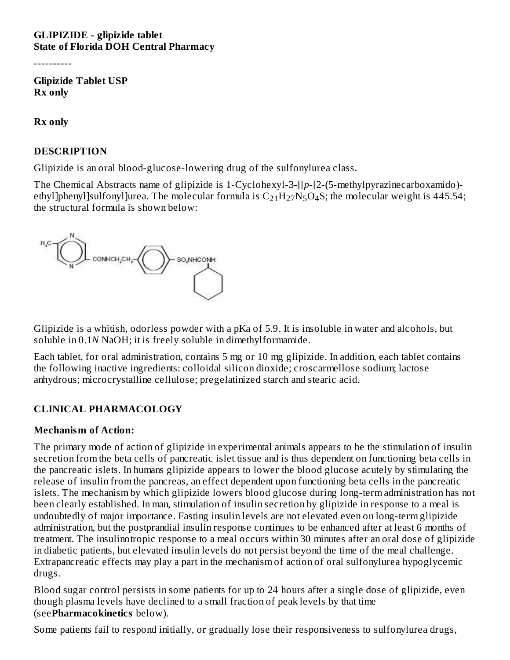#### **GLIPIZIDE - glipizide tablet State of Florida DOH Central Pharmacy**

----------

**Glipizide Tablet USP Rx only**

**Rx only**

#### **DESCRIPTION**

Glipizide is an oral blood-glucose-lowering drug of the sulfonylurea class.

The Chemical Abstracts name of glipizide is 1-Cyclohexyl-3-[[*p*-[2-(5-methylpyrazinecarboxamido) ethyl]phenyl]sulfonyl]urea. The molecular formula is  $\rm{C_{21}H_{27}N_5O_4S}$ ; the molecular weight is 445.54; the structural formula is shown below:



Glipizide is a whitish, odorless powder with a pKa of 5.9. It is insoluble in water and alcohols, but soluble in 0.1*N* NaOH; it is freely soluble in dimethylformamide.

Each tablet, for oral administration, contains 5 mg or 10 mg glipizide. In addition, each tablet contains the following inactive ingredients: colloidal silicon dioxide; croscarmellose sodium; lactose anhydrous; microcrystalline cellulose; pregelatinized starch and stearic acid.

#### **CLINICAL PHARMACOLOGY**

#### **Mechanism of Action:**

The primary mode of action of glipizide in experimental animals appears to be the stimulation of insulin secretion from the beta cells of pancreatic islet tissue and is thus dependent on functioning beta cells in the pancreatic islets. In humans glipizide appears to lower the blood glucose acutely by stimulating the release of insulin from the pancreas, an effect dependent upon functioning beta cells in the pancreatic islets. The mechanism by which glipizide lowers blood glucose during long-term administration has not been clearly established. In man, stimulation of insulin secretion by glipizide in response to a meal is undoubtedly of major importance. Fasting insulin levels are not elevated even on long-term glipizide administration, but the postprandial insulin response continues to be enhanced after at least 6 months of treatment. The insulinotropic response to a meal occurs within 30 minutes after an oral dose of glipizide in diabetic patients, but elevated insulin levels do not persist beyond the time of the meal challenge. Extrapancreatic effects may play a part in the mechanism of action of oral sulfonylurea hypoglycemic drugs.

Blood sugar control persists in some patients for up to 24 hours after a single dose of glipizide, even though plasma levels have declined to a small fraction of peak levels by that time (see**Pharmacokinetics** below).

Some patients fail to respond initially, or gradually lose their responsiveness to sulfonylurea drugs,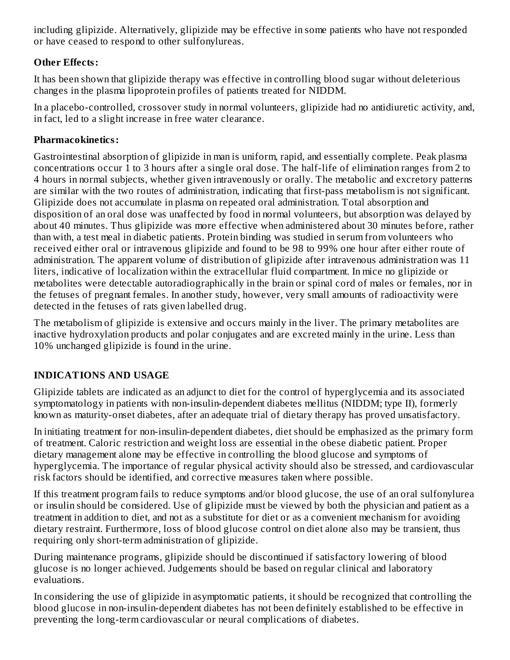including glipizide. Alternatively, glipizide may be effective in some patients who have not responded or have ceased to respond to other sulfonylureas.

## **Other Effects:**

It has been shown that glipizide therapy was effective in controlling blood sugar without deleterious changes in the plasma lipoprotein profiles of patients treated for NIDDM.

In a placebo-controlled, crossover study in normal volunteers, glipizide had no antidiuretic activity, and, in fact, led to a slight increase in free water clearance.

## **Pharmacokinetics:**

Gastrointestinal absorption of glipizide in man is uniform, rapid, and essentially complete. Peak plasma concentrations occur 1 to 3 hours after a single oral dose. The half-life of elimination ranges from 2 to 4 hours in normal subjects, whether given intravenously or orally. The metabolic and excretory patterns are similar with the two routes of administration, indicating that first-pass metabolism is not significant. Glipizide does not accumulate in plasma on repeated oral administration. Total absorption and disposition of an oral dose was unaffected by food in normal volunteers, but absorption was delayed by about 40 minutes. Thus glipizide was more effective when administered about 30 minutes before, rather than with, a test meal in diabetic patients. Protein binding was studied in serum from volunteers who received either oral or intravenous glipizide and found to be 98 to 99% one hour after either route of administration. The apparent volume of distribution of glipizide after intravenous administration was 11 liters, indicative of localization within the extracellular fluid compartment. In mice no glipizide or metabolites were detectable autoradiographically in the brain or spinal cord of males or females, nor in the fetuses of pregnant females. In another study, however, very small amounts of radioactivity were detected in the fetuses of rats given labelled drug.

The metabolism of glipizide is extensive and occurs mainly in the liver. The primary metabolites are inactive hydroxylation products and polar conjugates and are excreted mainly in the urine. Less than 10% unchanged glipizide is found in the urine.

## **INDICATIONS AND USAGE**

Glipizide tablets are indicated as an adjunct to diet for the control of hyperglycemia and its associated symptomatology in patients with non-insulin-dependent diabetes mellitus (NIDDM; type II), formerly known as maturity-onset diabetes, after an adequate trial of dietary therapy has proved unsatisfactory.

In initiating treatment for non-insulin-dependent diabetes, diet should be emphasized as the primary form of treatment. Caloric restriction and weight loss are essential in the obese diabetic patient. Proper dietary management alone may be effective in controlling the blood glucose and symptoms of hyperglycemia. The importance of regular physical activity should also be stressed, and cardiovascular risk factors should be identified, and corrective measures taken where possible.

If this treatment program fails to reduce symptoms and/or blood glucose, the use of an oral sulfonylurea or insulin should be considered. Use of glipizide must be viewed by both the physician and patient as a treatment in addition to diet, and not as a substitute for diet or as a convenient mechanism for avoiding dietary restraint. Furthermore, loss of blood glucose control on diet alone also may be transient, thus requiring only short-term administration of glipizide.

During maintenance programs, glipizide should be discontinued if satisfactory lowering of blood glucose is no longer achieved. Judgements should be based on regular clinical and laboratory evaluations.

In considering the use of glipizide in asymptomatic patients, it should be recognized that controlling the blood glucose in non-insulin-dependent diabetes has not been definitely established to be effective in preventing the long-term cardiovascular or neural complications of diabetes.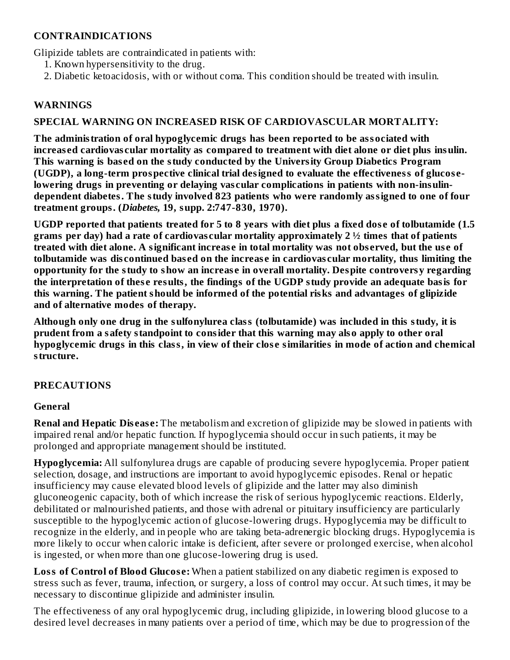#### **CONTRAINDICATIONS**

Glipizide tablets are contraindicated in patients with:

- 1. Known hypersensitivity to the drug.
- 2. Diabetic ketoacidosis, with or without coma. This condition should be treated with insulin.

#### **WARNINGS**

#### **SPECIAL WARNING ON INCREASED RISK OF CARDIOVASCULAR MORTALITY:**

**The administration of oral hypoglycemic drugs has been reported to be associated with increas ed cardiovas cular mortality as compared to treatment with diet alone or diet plus insulin. This warning is bas ed on the study conducted by the University Group Diabetics Program (UGDP), a long-term prospective clinical trial designed to evaluate the effectiveness of glucos elowering drugs in preventing or delaying vas cular complications in patients with non-insulindependent diabetes. The study involved 823 patients who were randomly assigned to one of four treatment groups. (***Diabetes,* **19, supp. 2:747-830, 1970).**

UGDP reported that patients treated for 5 to 8 years with diet plus a fixed dose of tolbutamide (1.5 **grams per day) had a rate of cardiovas cular mortality approximately 2 ½ times that of patients** treated with diet alone. A significant increase in total mortality was not observed, but the use of **tolbutamide was dis continued bas ed on the increas e in cardiovas cular mortality, thus limiting the opportunity for the study to show an increas e in overall mortality. Despite controversy regarding the interpretation of thes e results, the findings of the UGDP study provide an adequate basis for this warning. The patient should be informed of the potential risks and advantages of glipizide and of alternative modes of therapy.**

**Although only one drug in the sulfonylurea class (tolbutamide) was included in this study, it is prudent from a safety standpoint to consider that this warning may also apply to other oral** hypoglycemic drugs in this class, in view of their close similarities in mode of action and chemical **structure.**

#### **PRECAUTIONS**

#### **General**

**Renal and Hepatic Dis eas e:** The metabolism and excretion of glipizide may be slowed in patients with impaired renal and/or hepatic function. If hypoglycemia should occur in such patients, it may be prolonged and appropriate management should be instituted.

**Hypoglycemia:** All sulfonylurea drugs are capable of producing severe hypoglycemia. Proper patient selection, dosage, and instructions are important to avoid hypoglycemic episodes. Renal or hepatic insufficiency may cause elevated blood levels of glipizide and the latter may also diminish gluconeogenic capacity, both of which increase the risk of serious hypoglycemic reactions. Elderly, debilitated or malnourished patients, and those with adrenal or pituitary insufficiency are particularly susceptible to the hypoglycemic action of glucose-lowering drugs. Hypoglycemia may be difficult to recognize in the elderly, and in people who are taking beta-adrenergic blocking drugs. Hypoglycemia is more likely to occur when caloric intake is deficient, after severe or prolonged exercise, when alcohol is ingested, or when more than one glucose-lowering drug is used.

**Loss of Control of Blood Glucos e:** When a patient stabilized on any diabetic regimen is exposed to stress such as fever, trauma, infection, or surgery, a loss of control may occur. At such times, it may be necessary to discontinue glipizide and administer insulin.

The effectiveness of any oral hypoglycemic drug, including glipizide, in lowering blood glucose to a desired level decreases in many patients over a period of time, which may be due to progression of the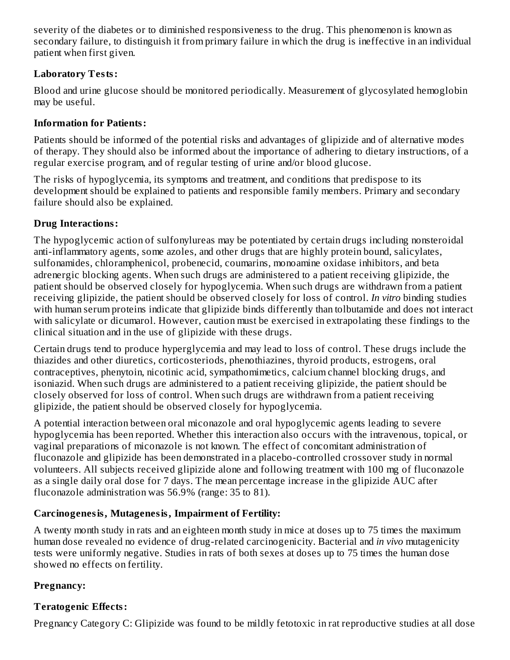severity of the diabetes or to diminished responsiveness to the drug. This phenomenon is known as secondary failure, to distinguish it from primary failure in which the drug is ineffective in an individual patient when first given.

#### **Laboratory Tests:**

Blood and urine glucose should be monitored periodically. Measurement of glycosylated hemoglobin may be useful.

## **Information for Patients:**

Patients should be informed of the potential risks and advantages of glipizide and of alternative modes of therapy. They should also be informed about the importance of adhering to dietary instructions, of a regular exercise program, and of regular testing of urine and/or blood glucose.

The risks of hypoglycemia, its symptoms and treatment, and conditions that predispose to its development should be explained to patients and responsible family members. Primary and secondary failure should also be explained.

## **Drug Interactions:**

The hypoglycemic action of sulfonylureas may be potentiated by certain drugs including nonsteroidal anti-inflammatory agents, some azoles, and other drugs that are highly protein bound, salicylates, sulfonamides, chloramphenicol, probenecid, coumarins, monoamine oxidase inhibitors, and beta adrenergic blocking agents. When such drugs are administered to a patient receiving glipizide, the patient should be observed closely for hypoglycemia. When such drugs are withdrawn from a patient receiving glipizide, the patient should be observed closely for loss of control. *In vitro* binding studies with human serum proteins indicate that glipizide binds differently than tolbutamide and does not interact with salicylate or dicumarol. However, caution must be exercised in extrapolating these findings to the clinical situation and in the use of glipizide with these drugs.

Certain drugs tend to produce hyperglycemia and may lead to loss of control. These drugs include the thiazides and other diuretics, corticosteriods, phenothiazines, thyroid products, estrogens, oral contraceptives, phenytoin, nicotinic acid, sympathomimetics, calcium channel blocking drugs, and isoniazid. When such drugs are administered to a patient receiving glipizide, the patient should be closely observed for loss of control. When such drugs are withdrawn from a patient receiving glipizide, the patient should be observed closely for hypoglycemia.

A potential interaction between oral miconazole and oral hypoglycemic agents leading to severe hypoglycemia has been reported. Whether this interaction also occurs with the intravenous, topical, or vaginal preparations of miconazole is not known. The effect of concomitant administration of fluconazole and glipizide has been demonstrated in a placebo-controlled crossover study in normal volunteers. All subjects received glipizide alone and following treatment with 100 mg of fluconazole as a single daily oral dose for 7 days. The mean percentage increase in the glipizide AUC after fluconazole administration was 56.9% (range: 35 to 81).

## **Carcinogenesis, Mutagenesis, Impairment of Fertility:**

A twenty month study in rats and an eighteen month study in mice at doses up to 75 times the maximum human dose revealed no evidence of drug-related carcinogenicity. Bacterial and *in vivo* mutagenicity tests were uniformly negative. Studies in rats of both sexes at doses up to 75 times the human dose showed no effects on fertility.

## **Pregnancy:**

## **Teratogenic Effects:**

Pregnancy Category C: Glipizide was found to be mildly fetotoxic in rat reproductive studies at all dose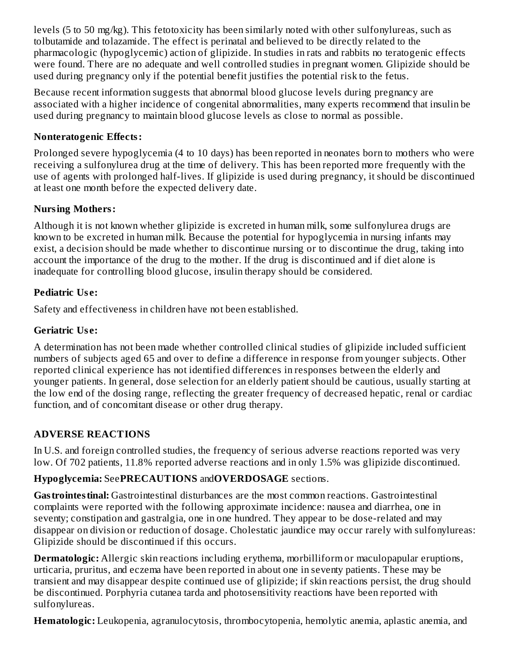levels (5 to 50 mg/kg). This fetotoxicity has been similarly noted with other sulfonylureas, such as tolbutamide and tolazamide. The effect is perinatal and believed to be directly related to the pharmacologic (hypoglycemic) action of glipizide. In studies in rats and rabbits no teratogenic effects were found. There are no adequate and well controlled studies in pregnant women. Glipizide should be used during pregnancy only if the potential benefit justifies the potential risk to the fetus.

Because recent information suggests that abnormal blood glucose levels during pregnancy are associated with a higher incidence of congenital abnormalities, many experts recommend that insulin be used during pregnancy to maintain blood glucose levels as close to normal as possible.

## **Nonteratogenic Effects:**

Prolonged severe hypoglycemia (4 to 10 days) has been reported in neonates born to mothers who were receiving a sulfonylurea drug at the time of delivery. This has been reported more frequently with the use of agents with prolonged half-lives. If glipizide is used during pregnancy, it should be discontinued at least one month before the expected delivery date.

#### **Nursing Mothers:**

Although it is not known whether glipizide is excreted in human milk, some sulfonylurea drugs are known to be excreted in human milk. Because the potential for hypoglycemia in nursing infants may exist, a decision should be made whether to discontinue nursing or to discontinue the drug, taking into account the importance of the drug to the mother. If the drug is discontinued and if diet alone is inadequate for controlling blood glucose, insulin therapy should be considered.

#### **Pediatric Us e:**

Safety and effectiveness in children have not been established.

#### **Geriatric Us e:**

A determination has not been made whether controlled clinical studies of glipizide included sufficient numbers of subjects aged 65 and over to define a difference in response from younger subjects. Other reported clinical experience has not identified differences in responses between the elderly and younger patients. In general, dose selection for an elderly patient should be cautious, usually starting at the low end of the dosing range, reflecting the greater frequency of decreased hepatic, renal or cardiac function, and of concomitant disease or other drug therapy.

## **ADVERSE REACTIONS**

In U.S. and foreign controlled studies, the frequency of serious adverse reactions reported was very low. Of 702 patients, 11.8% reported adverse reactions and in only 1.5% was glipizide discontinued.

#### **Hypoglycemia:** See**PRECAUTIONS** and**OVERDOSAGE** sections.

**Gastrointestinal:** Gastrointestinal disturbances are the most common reactions. Gastrointestinal complaints were reported with the following approximate incidence: nausea and diarrhea, one in seventy; constipation and gastralgia, one in one hundred. They appear to be dose-related and may disappear on division or reduction of dosage. Cholestatic jaundice may occur rarely with sulfonylureas: Glipizide should be discontinued if this occurs.

**Dermatologic:** Allergic skin reactions including erythema, morbilliform or maculopapular eruptions, urticaria, pruritus, and eczema have been reported in about one in seventy patients. These may be transient and may disappear despite continued use of glipizide; if skin reactions persist, the drug should be discontinued. Porphyria cutanea tarda and photosensitivity reactions have been reported with sulfonylureas.

**Hematologic:** Leukopenia, agranulocytosis, thrombocytopenia, hemolytic anemia, aplastic anemia, and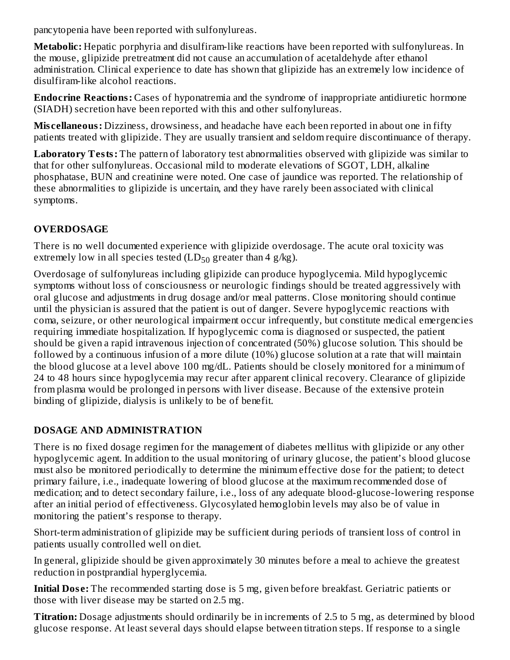pancytopenia have been reported with sulfonylureas.

**Metabolic:** Hepatic porphyria and disulfiram-like reactions have been reported with sulfonylureas. In the mouse, glipizide pretreatment did not cause an accumulation of acetaldehyde after ethanol administration. Clinical experience to date has shown that glipizide has an extremely low incidence of disulfiram-like alcohol reactions.

**Endocrine Reactions:** Cases of hyponatremia and the syndrome of inappropriate antidiuretic hormone (SIADH) secretion have been reported with this and other sulfonylureas.

**Mis cellaneous:** Dizziness, drowsiness, and headache have each been reported in about one in fifty patients treated with glipizide. They are usually transient and seldom require discontinuance of therapy.

**Laboratory Tests:** The pattern of laboratory test abnormalities observed with glipizide was similar to that for other sulfonylureas. Occasional mild to moderate elevations of SGOT, LDH, alkaline phosphatase, BUN and creatinine were noted. One case of jaundice was reported. The relationship of these abnormalities to glipizide is uncertain, and they have rarely been associated with clinical symptoms.

## **OVERDOSAGE**

There is no well documented experience with glipizide overdosage. The acute oral toxicity was extremely low in all species tested (LD $_{50}$  greater than 4 g/kg).

Overdosage of sulfonylureas including glipizide can produce hypoglycemia. Mild hypoglycemic symptoms without loss of consciousness or neurologic findings should be treated aggressively with oral glucose and adjustments in drug dosage and/or meal patterns. Close monitoring should continue until the physician is assured that the patient is out of danger. Severe hypoglycemic reactions with coma, seizure, or other neurological impairment occur infrequently, but constitute medical emergencies requiring immediate hospitalization. If hypoglycemic coma is diagnosed or suspected, the patient should be given a rapid intravenous injection of concentrated (50%) glucose solution. This should be followed by a continuous infusion of a more dilute (10%) glucose solution at a rate that will maintain the blood glucose at a level above 100 mg/dL. Patients should be closely monitored for a minimum of 24 to 48 hours since hypoglycemia may recur after apparent clinical recovery. Clearance of glipizide from plasma would be prolonged in persons with liver disease. Because of the extensive protein binding of glipizide, dialysis is unlikely to be of benefit.

## **DOSAGE AND ADMINISTRATION**

There is no fixed dosage regimen for the management of diabetes mellitus with glipizide or any other hypoglycemic agent. In addition to the usual monitoring of urinary glucose, the patient's blood glucose must also be monitored periodically to determine the minimum effective dose for the patient; to detect primary failure, i.e., inadequate lowering of blood glucose at the maximum recommended dose of medication; and to detect secondary failure, i.e., loss of any adequate blood-glucose-lowering response after an initial period of effectiveness. Glycosylated hemoglobin levels may also be of value in monitoring the patient's response to therapy.

Short-term administration of glipizide may be sufficient during periods of transient loss of control in patients usually controlled well on diet.

In general, glipizide should be given approximately 30 minutes before a meal to achieve the greatest reduction in postprandial hyperglycemia.

**Initial Dos e:** The recommended starting dose is 5 mg, given before breakfast. Geriatric patients or those with liver disease may be started on 2.5 mg.

**Titration:** Dosage adjustments should ordinarily be in increments of 2.5 to 5 mg, as determined by blood glucose response. At least several days should elapse between titration steps. If response to a single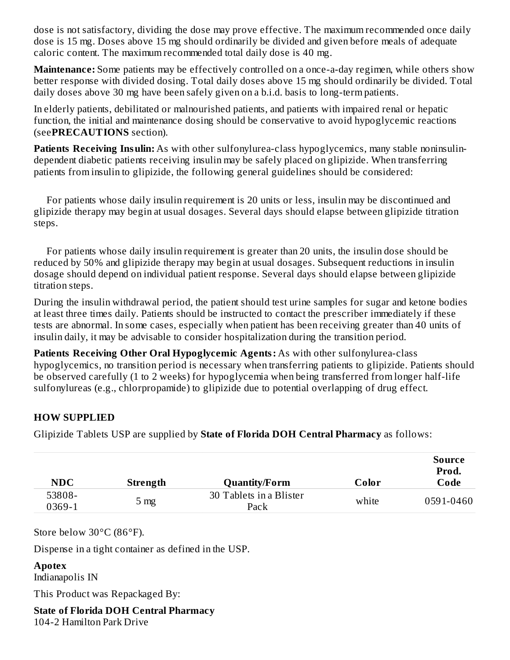dose is not satisfactory, dividing the dose may prove effective. The maximum recommended once daily dose is 15 mg. Doses above 15 mg should ordinarily be divided and given before meals of adequate caloric content. The maximum recommended total daily dose is 40 mg.

**Maintenance:** Some patients may be effectively controlled on a once-a-day regimen, while others show better response with divided dosing. Total daily doses above 15 mg should ordinarily be divided. Total daily doses above 30 mg have been safely given on a b.i.d. basis to long-term patients.

In elderly patients, debilitated or malnourished patients, and patients with impaired renal or hepatic function, the initial and maintenance dosing should be conservative to avoid hypoglycemic reactions (see**PRECAUTIONS** section).

**Patients Receiving Insulin:** As with other sulfonylurea-class hypoglycemics, many stable noninsulindependent diabetic patients receiving insulin may be safely placed on glipizide. When transferring patients from insulin to glipizide, the following general guidelines should be considered:

For patients whose daily insulin requirement is 20 units or less, insulin may be discontinued and glipizide therapy may begin at usual dosages. Several days should elapse between glipizide titration steps.

For patients whose daily insulin requirement is greater than 20 units, the insulin dose should be reduced by 50% and glipizide therapy may begin at usual dosages. Subsequent reductions in insulin dosage should depend on individual patient response. Several days should elapse between glipizide titration steps.

During the insulin withdrawal period, the patient should test urine samples for sugar and ketone bodies at least three times daily. Patients should be instructed to contact the prescriber immediately if these tests are abnormal. In some cases, especially when patient has been receiving greater than 40 units of insulin daily, it may be advisable to consider hospitalization during the transition period.

**Patients Receiving Other Oral Hypoglycemic Agents:** As with other sulfonylurea-class hypoglycemics, no transition period is necessary when transferring patients to glipizide. Patients should be observed carefully (1 to 2 weeks) for hypoglycemia when being transferred from longer half-life sulfonylureas (e.g., chlorpropamide) to glipizide due to potential overlapping of drug effect.

## **HOW SUPPLIED**

Glipizide Tablets USP are supplied by **State of Florida DOH Central Pharmacy** as follows:

|            |                 |                         |       | Source<br>Prod. |
|------------|-----------------|-------------------------|-------|-----------------|
| <b>NDC</b> | Strength        | Quantity/Form           | Color | Code            |
| 53808-     |                 | 30 Tablets in a Blister | white | 0591-0460       |
| 0369-1     | 5 <sub>mg</sub> | Pack                    |       |                 |

Store below 30°C (86°F).

Dispense in a tight container as defined in the USP.

#### **Apotex**

Indianapolis IN

This Product was Repackaged By:

**State of Florida DOH Central Pharmacy** 104-2 Hamilton Park Drive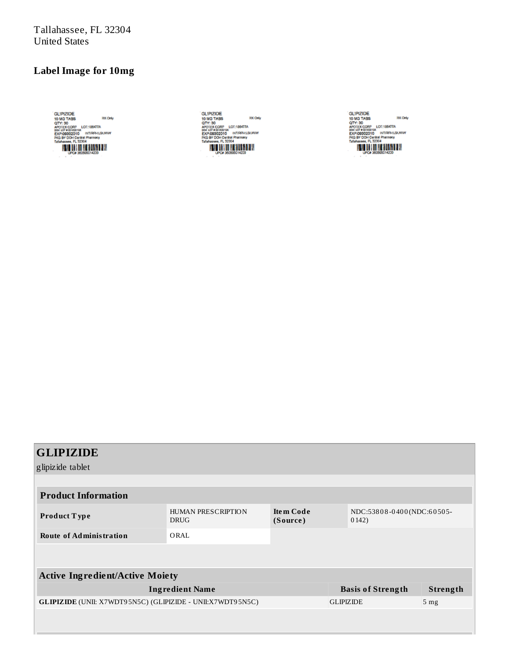Tallahassee, FL 32304 United States

# **Label Image for 10mg**

| <b>GLIPIZIDE</b>                                           |                                   |                              |                  |                                    |                 |  |
|------------------------------------------------------------|-----------------------------------|------------------------------|------------------|------------------------------------|-----------------|--|
| glipizide tablet                                           |                                   |                              |                  |                                    |                 |  |
|                                                            |                                   |                              |                  |                                    |                 |  |
| <b>Product Information</b>                                 |                                   |                              |                  |                                    |                 |  |
| <b>Product Type</b>                                        | HUMAN PRESCRIPTION<br><b>DRUG</b> | <b>Item Code</b><br>(Source) |                  | NDC:53808-0400(NDC:60505-<br>0142) |                 |  |
| <b>Route of Administration</b>                             | ORAL                              |                              |                  |                                    |                 |  |
|                                                            |                                   |                              |                  |                                    |                 |  |
|                                                            |                                   |                              |                  |                                    |                 |  |
| <b>Active Ingredient/Active Moiety</b>                     |                                   |                              |                  |                                    |                 |  |
| <b>Ingredient Name</b>                                     |                                   |                              |                  | <b>Basis of Strength</b>           | Strength        |  |
| GLIPIZIDE (UNII: X7WDT95N5C) (GLIPIZIDE - UNII:X7WDT95N5C) |                                   |                              | <b>GLIPIZIDE</b> |                                    | 5 <sub>mg</sub> |  |
|                                                            |                                   |                              |                  |                                    |                 |  |
|                                                            |                                   |                              |                  |                                    |                 |  |
|                                                            |                                   |                              |                  |                                    |                 |  |